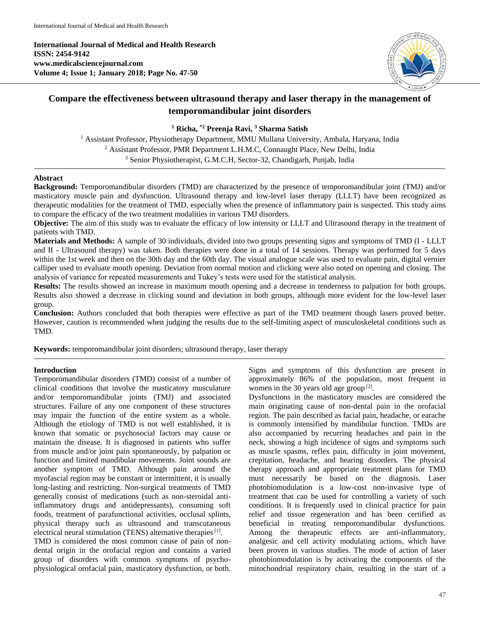**International Journal of Medical and Health Research ISSN: 2454-9142 www.medicalsciencejournal.com Volume 4; Issue 1; January 2018; Page No. 47-50**



# **Compare the effectiveness between ultrasound therapy and laser therapy in the management of temporomandibular joint disorders**

**<sup>1</sup> Richa, \*2 Preenja Ravi, <sup>3</sup> Sharma Satish**

<sup>1</sup> Assistant Professor, Physiotherapy Department, MMU Mullana University, Ambala, Haryana, India <sup>2</sup> Assistant Professor, PMR Department L.H.M.C, Connaught Place, New Delhi, India <sup>3</sup> Senior Physiotherapist, G.M.C.H, Sector-32, Chandigarh, Punjab, India

## **Abstract**

**Background:** Temporomandibular disorders (TMD) are characterized by the presence of temporomandibular joint (TMJ) and/or masticatory muscle pain and dysfunction. Ultrasound therapy and low-level laser therapy (LLLT) have been recognized as therapeutic modalities for the treatment of TMD, especially when the presence of inflammatory pain is suspected. This study aims to compare the efficacy of the two treatment modalities in various TMJ disorders.

**Objective:** The aim of this study was to evaluate the efficacy of low intensity or LLLT and Ultrasound therapy in the treatment of patients with TMD.

**Materials and Methods:** A sample of 30 individuals, divided into two groups presenting signs and symptoms of TMD (I - LLLT and II - Ultrasound therapy) was taken. Both therapies were done in a total of 14 sessions. Therapy was performed for 5 days within the 1st week and then on the 30th day and the 60th day. The visual analogue scale was used to evaluate pain, digital vernier calliper used to evaluate mouth opening. Deviation from normal motion and clicking were also noted on opening and closing. The analysis of variance for repeated measurements and Tukey's tests were used for the statistical analysis.

**Results:** The results showed an increase in maximum mouth opening and a decrease in tenderness to palpation for both groups. Results also showed a decrease in clicking sound and deviation in both groups, although more evident for the low-level laser group.

**Conclusion:** Authors concluded that both therapies were effective as part of the TMD treatment though lasers proved better. However, caution is recommended when judging the results due to the self-limiting aspect of musculoskeletal conditions such as TMD.

**Keywords:** temporomandibular joint disorders; ultrasound therapy, laser therapy

# **Introduction**

Temporomandibular disorders (TMD) consist of a number of clinical conditions that involve the masticatory musculature and/or temporomandibular joints (TMJ) and associated structures. Failure of any one component of these structures may impair the function of the entire system as a whole. Although the etiology of TMD is not well established, it is known that somatic or psychosocial factors may cause or maintain the disease. It is diagnosed in patients who suffer from muscle and/or joint pain spontaneously, by palpation or function and limited mandibular movements. Joint sounds are another symptom of TMD. Although pain around the myofascial region may be constant or intermittent, it is usually long-lasting and restricting. Non-surgical treatments of TMD generally consist of medications (such as non-steroidal antiinflammatory drugs and antidepressants), consuming soft foods, treatment of parafunctional activities, occlusal splints, physical therapy such as ultrasound and transcutaneous electrical neural stimulation (TENS) alternative therapies<sup>[1]</sup>. TMD is considered the most common cause of pain of nondental origin in the orofacial region and contains a varied

group of disorders with common symptoms of psychophysiological orofacial pain, masticatory dysfunction, or both. Signs and symptoms of this dysfunction are present in approximately 86% of the population, most frequent in women in the 30 years old age group  $[2]$ .

Dysfunctions in the masticatory muscles are considered the main originating cause of non-dental pain in the orofacial region. The pain described as facial pain, headache, or earache is commonly intensified by mandibular function. TMDs are also accompanied by recurring headaches and pain in the neck, showing a high incidence of signs and symptoms such as muscle spasms, reflex pain, difficulty in joint movement, crepitation, headache, and hearing disorders. The physical therapy approach and appropriate treatment plans for TMD must necessarily be based on the diagnosis. Laser photobiomodulation is a low-cost non-invasive type of treatment that can be used for controlling a variety of such conditions. It is frequently used in clinical practice for pain relief and tissue regeneration and has been certified as beneficial in treating temporomandibular dysfunctions. Among the therapeutic effects are anti-inflammatory, analgesic and cell activity modulating actions, which have been proven in various studies. The mode of action of laser photobiomodulation is by activating the components of the mitochondrial respiratory chain, resulting in the start of a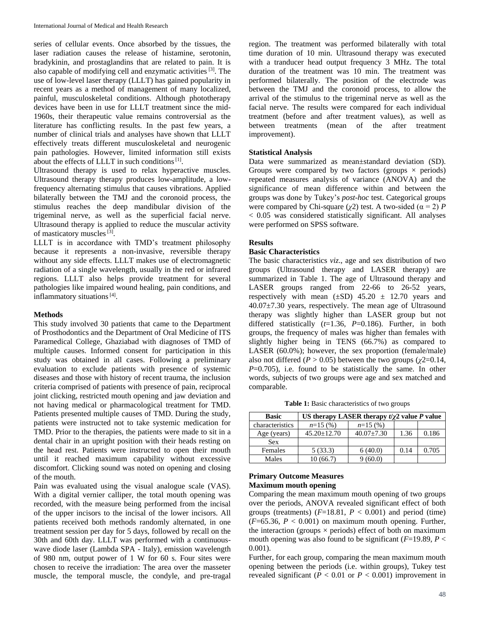series of cellular events. Once absorbed by the tissues, the laser radiation causes the release of histamine, serotonin, bradykinin, and prostaglandins that are related to pain. It is also capable of modifying cell and enzymatic activities<sup>[3]</sup>. The use of low-level laser therapy (LLLT) has gained popularity in recent years as a method of management of many localized, painful, musculoskeletal conditions. Although phototherapy devices have been in use for LLLT treatment since the mid-1960s, their therapeutic value remains controversial as the literature has conflicting results. In the past few years, a number of clinical trials and analyses have shown that LLLT effectively treats different musculoskeletal and neurogenic pain pathologies. However, limited information still exists about the effects of LLLT in such conditions<sup>[1]</sup>.

Ultrasound therapy is used to relax hyperactive muscles. Ultrasound therapy therapy produces low-amplitude, a lowfrequency alternating stimulus that causes vibrations. Applied bilaterally between the TMJ and the coronoid process, the stimulus reaches the deep mandibular division of the trigeminal nerve, as well as the superficial facial nerve. Ultrasound therapy is applied to reduce the muscular activity of masticatory muscles<sup>[3]</sup>.

LLLT is in accordance with TMD's treatment philosophy because it represents a non-invasive, reversible therapy without any side effects. LLLT makes use of electromagnetic radiation of a single wavelength, usually in the red or infrared regions. LLLT also helps provide treatment for several pathologies like impaired wound healing, pain conditions, and inflammatory situations<sup>[4]</sup>.

### **Methods**

This study involved 30 patients that came to the Department of Prosthodontics and the Department of Oral Medicine of ITS Paramedical College, Ghaziabad with diagnoses of TMD of multiple causes. Informed consent for participation in this study was obtained in all cases. Following a preliminary evaluation to exclude patients with presence of systemic diseases and those with history of recent trauma, the inclusion criteria comprised of patients with presence of pain, reciprocal joint clicking, restricted mouth opening and jaw deviation and not having medical or pharmacological treatment for TMD. Patients presented multiple causes of TMD. During the study, patients were instructed not to take systemic medication for TMD. Prior to the therapies, the patients were made to sit in a dental chair in an upright position with their heads resting on the head rest. Patients were instructed to open their mouth until it reached maximum capability without excessive discomfort. Clicking sound was noted on opening and closing of the mouth.

Pain was evaluated using the visual analogue scale (VAS). With a digital vernier calliper, the total mouth opening was recorded, with the measure being performed from the incisal of the upper incisors to the incisal of the lower incisors. All patients received both methods randomly alternated, in one treatment session per day for 5 days, followed by recall on the 30th and 60th day. LLLT was performed with a continuouswave diode laser (Lambda SPA - Italy), emission wavelength of 980 nm, output power of 1 W for 60 s. Four sites were chosen to receive the irradiation: The area over the masseter muscle, the temporal muscle, the condyle, and pre-tragal region. The treatment was performed bilaterally with total time duration of 10 min. Ultrasound therapy was executed with a tranducer head output frequency 3 MHz. The total duration of the treatment was 10 min. The treatment was performed bilaterally. The position of the electrode was between the TMJ and the coronoid process, to allow the arrival of the stimulus to the trigeminal nerve as well as the facial nerve. The results were compared for each individual treatment (before and after treatment values), as well as between treatments (mean of the after treatment improvement).

#### **Statistical Analysis**

Data were summarized as mean±standard deviation (SD). Groups were compared by two factors (groups  $\times$  periods) repeated measures analysis of variance (ANOVA) and the significance of mean difference within and between the groups was done by Tukey's *post-hoc* test. Categorical groups were compared by Chi-square ( $\chi$ 2) test. A two-sided ( $\alpha$  = 2) *P* < 0.05 was considered statistically significant. All analyses were performed on SPSS software.

#### **Results**

## **Basic Characteristics**

The basic characteristics *viz*., age and sex distribution of two groups (Ultrasound therapy and LASER therapy) are summarized in Table 1. The age of Ultrasound therapy and LASER groups ranged from 22-66 to 26-52 years, respectively with mean  $(\pm SD)$  45.20  $\pm$  12.70 years and 40.07±7.30 years, respectively. The mean age of Ultrasound therapy was slightly higher than LASER group but not differed statistically (*t*=1.36, *P*=0.186). Further, in both groups, the frequency of males was higher than females with slightly higher being in TENS (66.7%) as compared to LASER (60.0%); however, the sex proportion (female/male) also not differed ( $P > 0.05$ ) between the two groups ( $\chi$ 2=0.14, *P*=0.705), i.e. found to be statistically the same. In other words, subjects of two groups were age and sex matched and comparable.

**Table 1:** Basic characteristics of two groups

| <b>Basic</b>    | US therapy LASER therapy $t/\gamma$ value P value |                  |      |       |
|-----------------|---------------------------------------------------|------------------|------|-------|
| characteristics | $n=15(%)$                                         | $n=15(%)$        |      |       |
| Age (years)     | $45.20 + 12.70$                                   | $40.07 \pm 7.30$ | 1.36 | 0.186 |
| <b>Sex</b>      |                                                   |                  |      |       |
| Females         | 5(33.3)                                           | 6(40.0)          | 0.14 | 0.705 |
| Males           | 10(66.7)                                          | (60.0)           |      |       |

### **Primary Outcome Measures Maximum mouth opening**

Comparing the mean maximum mouth opening of two groups over the periods, ANOVA revealed significant effect of both groups (treatments)  $(F=18.81, P < 0.001)$  and period (time)  $(F=65.36, P < 0.001)$  on maximum mouth opening. Further, the interaction (groups  $\times$  periods) effect of both on maximum mouth opening was also found to be significant  $(F=19.89, P<$ 0.001).

Further, for each group, comparing the mean maximum mouth opening between the periods (i.e. within groups), Tukey test revealed significant ( $P < 0.01$  or  $P < 0.001$ ) improvement in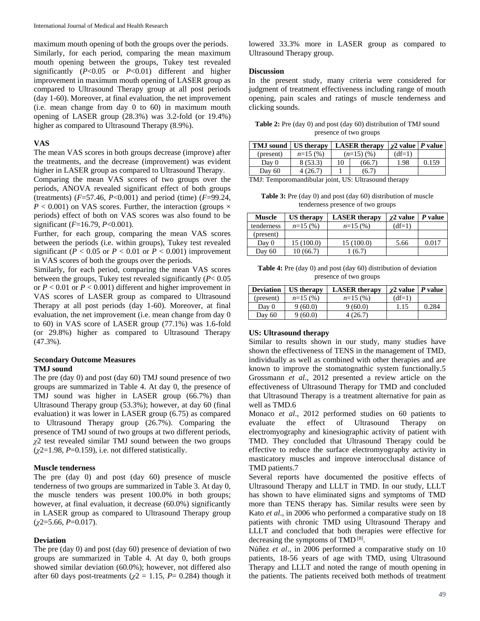maximum mouth opening of both the groups over the periods. Similarly, for each period, comparing the mean maximum mouth opening between the groups, Tukey test revealed significantly (*P*<0.05 or *P*<0.01) different and higher improvement in maximum mouth opening of LASER group as compared to Ultrasound Therapy group at all post periods (day 1-60). Moreover, at final evaluation, the net improvement (i.e. mean change from day 0 to 60) in maximum mouth opening of LASER group (28.3%) was 3.2-fold (or 19.4%) higher as compared to Ultrasound Therapy (8.9%).

# **VAS**

The mean VAS scores in both groups decrease (improve) after the treatments, and the decrease (improvement) was evident higher in LASER group as compared to Ultrasound Therapy.

Comparing the mean VAS scores of two groups over the periods, ANOVA revealed significant effect of both groups (treatments) (*F*=57.46, *P*<0.001) and period (time) (*F*=99.24,  $P < 0.001$ ) on VAS scores. Further, the interaction (groups  $\times$ periods) effect of both on VAS scores was also found to be significant (*F*=16.79, *P*<0.001).

Further, for each group, comparing the mean VAS scores between the periods (i.e. within groups), Tukey test revealed significant ( $P < 0.05$  or  $P < 0.01$  or  $P < 0.001$ ) improvement in VAS scores of both the groups over the periods.

Similarly, for each period, comparing the mean VAS scores between the groups, Tukey test revealed significantly (*P*< 0.05 or *P* < 0.01 or *P* < 0.001) different and higher improvement in VAS scores of LASER group as compared to Ultrasound Therapy at all post periods (day 1-60). Moreover, at final evaluation, the net improvement (i.e. mean change from day 0 to 60) in VAS score of LASER group (77.1%) was 1.6-fold (or 29.8%) higher as compared to Ultrasound Therapy (47.3%).

# **Secondary Outcome Measures TMJ sound**

The pre (day 0) and post (day 60) TMJ sound presence of two groups are summarized in Table 4. At day 0, the presence of TMJ sound was higher in LASER group (66.7%) than Ultrasound Therapy group (53.3%); however, at day 60 (final evaluation) it was lower in LASER group (6.75) as compared to Ultrasound Therapy group (26.7%). Comparing the presence of TMJ sound of two groups at two different periods, *χ*2 test revealed similar TMJ sound between the two groups (*χ*2=1.98, *P*=0.159), i.e. not differed statistically.

#### **Muscle tenderness**

The pre (day 0) and post (day 60) presence of muscle tenderness of two groups are summarized in Table 3. At day 0, the muscle tenders was present 100.0% in both groups; however, at final evaluation, it decrease (60.0%) significantly in LASER group as compared to Ultrasound Therapy group (*χ*2=5.66, *P*=0.017).

#### **Deviation**

The pre (day 0) and post (day 60) presence of deviation of two groups are summarized in Table 4. At day 0, both groups showed similar deviation (60.0%); however, not differed also after 60 days post-treatments ( $\chi$ 2 = 1.15, *P*= 0.284) though it lowered 33.3% more in LASER group as compared to Ultrasound Therapy group.

#### **Discussion**

In the present study, many criteria were considered for judgment of treatment effectiveness including range of mouth opening, pain scales and ratings of muscle tenderness and clicking sounds.

**Table 2:** Pre (day 0) and post (day 60) distribution of TMJ sound presence of two groups

| TMJ sound   US therapy                               |           | <b>LASER</b> therapy |        | $\chi$ 2 value   P value |       |
|------------------------------------------------------|-----------|----------------------|--------|--------------------------|-------|
| (present)                                            | $n=15(%)$ | $(n=15)(%$           |        | $(df=1)$                 |       |
| Day 0                                                | 8(53.3)   | 10                   | (66.7) | 1.98                     | 0.159 |
| Day $60$                                             | 4(26.7)   |                      | (6.7)  |                          |       |
| TMJ: Temporomandibular joint, US: Ultrasound therapy |           |                      |        |                          |       |

**Table 3:** Pre (day 0) and post (day 60) distribution of muscle

tenderness presence of two groups

| <b>Muscle</b> | US therapy | <b>LASER</b> therapy | $\gamma$ 2 value | P value |
|---------------|------------|----------------------|------------------|---------|
| tenderness    | $n=15(%)$  | $n=15(%)$            | $(df=1)$         |         |
| (present)     |            |                      |                  |         |
| Day 0         | 15 (100.0) | 15(100.0)            | 5.66             | 0.017   |
| Day 60        | 10(66.7)   | (6.7)                |                  |         |

**Table 4:** Pre (day 0) and post (day 60) distribution of deviation presence of two groups

| <b>Deviation</b> | <b>US</b> therapy | <b>LASER</b> therapy | $\gamma$ 2 value   P value |       |
|------------------|-------------------|----------------------|----------------------------|-------|
| (present)        | $n=15(%)$         | $n=15(%)$            | $(df=1)$                   |       |
| Day 0            | 9(60.0)           | 9(60.0)              | 1.15                       | 0.284 |
| Day 60           | 9(60.0)           | 4(26.7)              |                            |       |

## **US: Ultrasound therapy**

Similar to results shown in our study, many studies have shown the effectiveness of TENS in the management of TMD, individually as well as combined with other therapies and are known to improve the stomatognathic system functionally.5 Grossmann *et al*., 2012 presented a review article on the effectiveness of Ultrasound Therapy for TMD and concluded that Ultrasound Therapy is a treatment alternative for pain as well as TMD.6

Monaco *et al*., 2012 performed studies on 60 patients to evaluate the effect of Ultrasound Therapy on electromyography and kinesiographic activity of patient with TMD. They concluded that Ultrasound Therapy could be effective to reduce the surface electromyography activity in masticatory muscles and improve interocclusal distance of TMD patients.7

Several reports have documented the positive effects of Ultrasound Therapy and LLLT in TMD. In our study, LLLT has shown to have eliminated signs and symptoms of TMD more than TENS therapy has. Similar results were seen by Kato *et al*., in 2006 who performed a comparative study on 18 patients with chronic TMD using Ultrasound Therapy and LLLT and concluded that both therapies were effective for decreasing the symptoms of  $\text{TMD}^{[8]}.$ 

Núñez *et al*., in 2006 performed a comparative study on 10 patients, 18-56 years of age with TMD, using Ultrasound Therapy and LLLT and noted the range of mouth opening in the patients. The patients received both methods of treatment